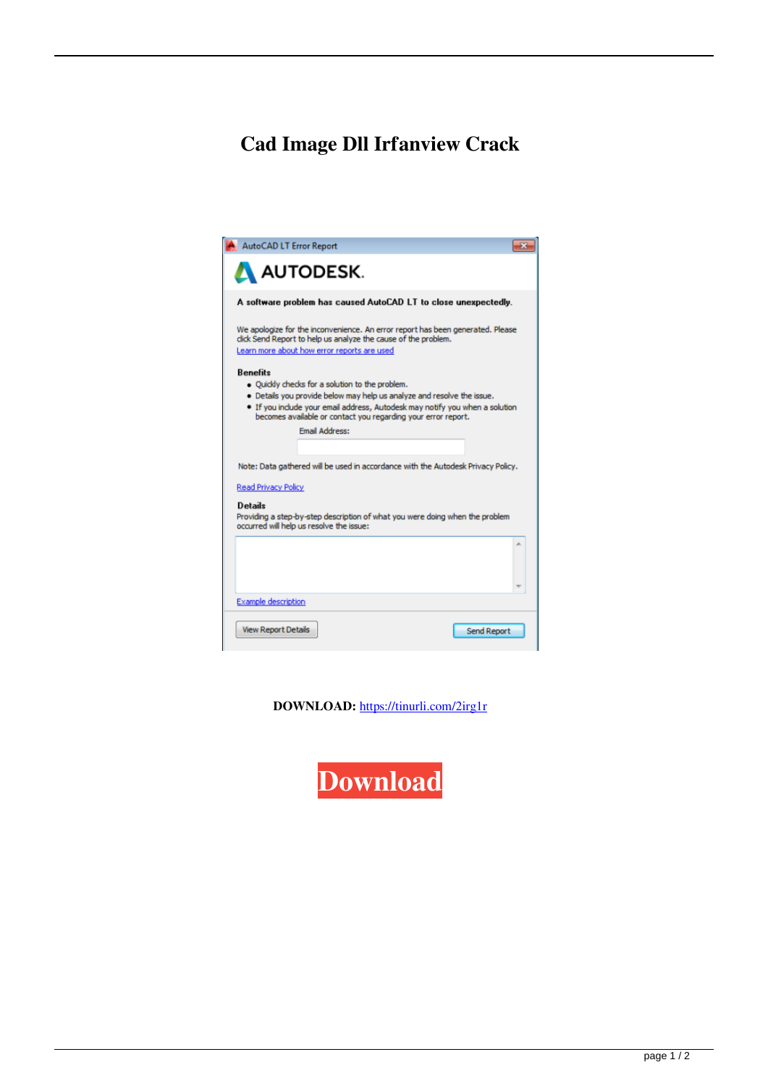## **Cad Image Dll Irfanview Crack**

| <b>AutoCAD LT Error Report</b>                                                                                                                                                                                                                                                                                         |
|------------------------------------------------------------------------------------------------------------------------------------------------------------------------------------------------------------------------------------------------------------------------------------------------------------------------|
| <b>AN AUTODESK.</b>                                                                                                                                                                                                                                                                                                    |
| A software problem has caused AutoCAD LT to close unexpectedly.                                                                                                                                                                                                                                                        |
| We apologize for the inconvenience. An error report has been generated. Please<br>dick Send Report to help us analyze the cause of the problem.<br>Learn more about how error reports are used                                                                                                                         |
| <b>Benefits</b><br>. Ouickly checks for a solution to the problem.<br>. Details you provide below may help us analyze and resolve the issue.<br>. If you include your email address, Autodesk may notify you when a solution<br>becomes available or contact you regarding your error report.<br><b>Email Address:</b> |
| Note: Data gathered will be used in accordance with the Autodesk Privacy Policy.<br><b>Read Privacy Policy</b>                                                                                                                                                                                                         |
| <b>Details</b><br>Providing a step-by-step description of what you were doing when the problem<br>occurred will help us resolve the issue:                                                                                                                                                                             |
| ×.                                                                                                                                                                                                                                                                                                                     |
| <b>Example description</b>                                                                                                                                                                                                                                                                                             |
| <b>View Report Details</b><br>Send Report                                                                                                                                                                                                                                                                              |

DOWNLOAD: https://tinurli.com/2irg1r